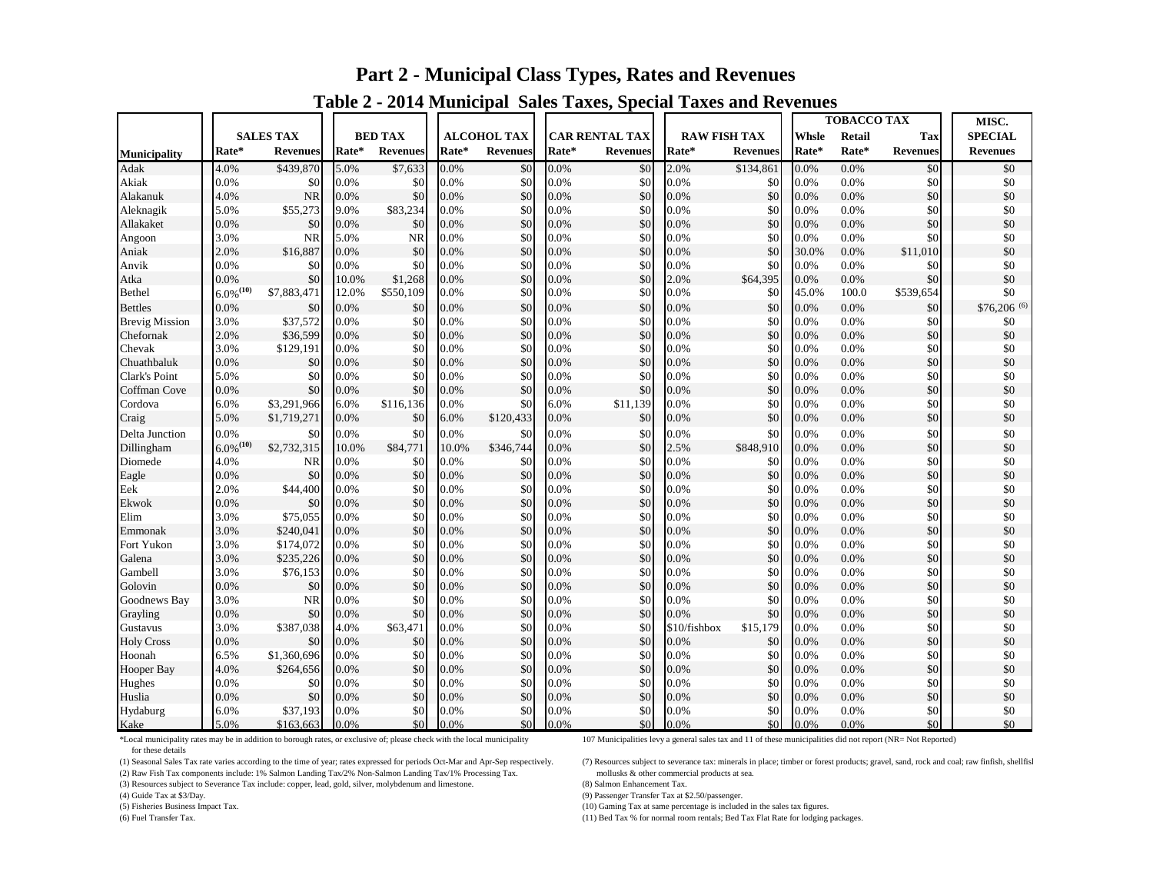# **Part 2 - Municipal Class Types, Rates and Revenues**

|                       |                  |                 |                |                 |                    |                 |                       |                 |                     |                 | <b>TOBACCO TAX</b>     |         |                 | MISC.           |
|-----------------------|------------------|-----------------|----------------|-----------------|--------------------|-----------------|-----------------------|-----------------|---------------------|-----------------|------------------------|---------|-----------------|-----------------|
|                       | <b>SALES TAX</b> |                 | <b>BED TAX</b> |                 | <b>ALCOHOL TAX</b> |                 | <b>CAR RENTAL TAX</b> |                 | <b>RAW FISH TAX</b> |                 | Whsle<br><b>Retail</b> |         | Tax             | <b>SPECIAL</b>  |
| Municipality          | Rate*            | <b>Revenues</b> | Rate*          | <b>Revenues</b> | Rate*              | <b>Revenues</b> | Rate*                 | <b>Revenues</b> | Rate*               | <b>Revenues</b> | Rate*                  | Rate*   | <b>Revenues</b> | <b>Revenues</b> |
| Adak                  | 4.0%             | \$439,870       | 5.0%           | \$7,633         | 0.0%               | \$0             | 0.0%                  | \$0             | 2.0%                | \$134,861       | 0.0%                   | 0.0%    | \$0             | \$0             |
| Akiak                 | 0.0%             | \$0             | 0.0%           | \$0             | 0.0%               | \$0             | 0.0%                  | \$0             | 0.0%                | \$0             | 0.0%                   | 0.0%    | \$0             | \$0             |
| Alakanuk              | 4.0%             | <b>NR</b>       | 0.0%           | \$0             | 0.0%               | \$0             | 0.0%                  | \$0             | 0.0%                | \$0             | 0.0%                   | 0.0%    | \$0             | \$0             |
| Aleknagik             | 5.0%             | \$55,273        | 9.0%           | \$83,234        | 0.0%               | \$0             | 0.0%                  | \$0             | 0.0%                | \$0             | 0.0%                   | 0.0%    | \$0             | \$0             |
| Allakaket             | 0.0%             | \$0             | 0.0%           | \$0             | 0.0%               | \$0             | 0.0%                  | \$0             | 0.0%                | \$0             | $0.0\%$                | 0.0%    | \$0             | \$0             |
| Angoon                | 3.0%             | <b>NR</b>       | 5.0%           | <b>NR</b>       | 0.0%               | \$0             | 0.0%                  | \$0             | 0.0%                | \$0             | 0.0%                   | 0.0%    | \$0             | \$0             |
| Aniak                 | 2.0%             | \$16,887        | 0.0%           | \$0             | 0.0%               | \$0             | 0.0%                  | \$0             | 0.0%                | \$0             | 30.0%                  | 0.0%    | \$11,010        | \$0             |
| Anvik                 | 0.0%             | \$0             | 0.0%           | \$0             | 0.0%               | \$0             | 0.0%                  | \$0             | 0.0%                | \$0             | 0.0%                   | 0.0%    | \$0             | \$0             |
| Atka                  | 0.0%             | \$0             | 10.0%          | \$1,268         | 0.0%               | \$0             | 0.0%                  | \$0             | 2.0%                | \$64,395        | 0.0%                   | 0.0%    | \$0             | \$0             |
| Bethel                | $6.0\%^{(10)}$   | \$7,883,471     | 12.0%          | \$550,109       | 0.0%               | \$0             | 0.0%                  | \$0             | 0.0%                | \$0             | 45.0%                  | 100.0   | \$539,654       | \$0             |
| Bettles               | 0.0%             | \$0             | 0.0%           | \$0             | 0.0%               | \$0             | 0.0%                  | \$0             | 0.0%                | \$0             | 0.0%                   | 0.0%    | \$0             | \$76,206 (6)    |
| <b>Brevig Mission</b> | 3.0%             | \$37,572        | 0.0%           | \$0             | 0.0%               | \$0             | 0.0%                  | \$0             | 0.0%                | \$0             | 0.0%                   | 0.0%    | \$0             | \$0             |
| Chefornak             | 2.0%             | \$36,599        | 0.0%           | \$0             | 0.0%               | \$0             | 0.0%                  | \$0             | 0.0%                | \$0             | 0.0%                   | 0.0%    | \$0             | \$0             |
| Chevak                | 3.0%             | \$129,191       | 0.0%           | \$0             | 0.0%               | \$0             | 0.0%                  | \$0             | 0.0%                | \$0             | 0.0%                   | 0.0%    | \$0             | \$0             |
| Chuathbaluk           | 0.0%             | \$0             | 0.0%           | \$0             | 0.0%               | \$0             | 0.0%                  | \$0             | 0.0%                | \$0             | $0.0\%$                | 0.0%    | \$0             | \$0             |
| Clark's Point         | 5.0%             | \$0             | 0.0%           | \$0             | 0.0%               | \$0             | 0.0%                  | \$0             | 0.0%                | \$0             | 0.0%                   | 0.0%    | \$0             | \$0             |
| Coffman Cove          | 0.0%             | \$0             | 0.0%           | \$0             | 0.0%               | \$0             | 0.0%                  | \$0             | 0.0%                | \$0             | 0.0%                   | 0.0%    | \$0             | \$0             |
| Cordova               | 6.0%             | \$3,291,966     | 6.0%           | \$116,136       | 0.0%               | \$0             | 6.0%                  | \$11,139        | 0.0%                | \$0             | $0.0\%$                | 0.0%    | \$0             | \$0             |
| Craig                 | 5.0%             | \$1,719,271     | 0.0%           | \$0             | 6.0%               | \$120,433       | 0.0%                  | \$0             | 0.0%                | \$0             | 0.0%                   | 0.0%    | \$0             | \$0             |
| Delta Junction        | 0.0%             | \$0             | 0.0%           | \$0             | 0.0%               | \$0             | 0.0%                  | \$0             | 0.0%                | \$0             | 0.0%                   | 0.0%    | \$0             | \$0             |
| Dillingham            | $6.0\%^{(10)}$   | \$2,732,315     | 10.0%          | \$84,771        | 10.0%              | \$346,744       | 0.0%                  | \$0             | 2.5%                | \$848,910       | 0.0%                   | 0.0%    | \$0             | \$0             |
| Diomede               | 4.0%             | <b>NR</b>       | 0.0%           | \$0             | 0.0%               | \$0             | 0.0%                  | \$0             | 0.0%                | \$0             | 0.0%                   | 0.0%    | \$0             | \$0             |
| Eagle                 | 0.0%             | \$0             | 0.0%           | \$0             | 0.0%               | \$0             | 0.0%                  | \$0             | 0.0%                | \$0             | 0.0%                   | 0.0%    | \$0             | \$0             |
| Eek                   | 2.0%             | \$44,400        | 0.0%           | \$0             | 0.0%               | \$0             | 0.0%                  | \$0             | 0.0%                | \$0             | 0.0%                   | 0.0%    | \$0             | \$0             |
| Ekwok                 | 0.0%             | \$0             | 0.0%           | \$0             | 0.0%               | \$0             | 0.0%                  | \$0             | 0.0%                | \$0             | 0.0%                   | 0.0%    | \$0             | \$0             |
| Elim                  | 3.0%             | \$75,055        | 0.0%           | \$0             | 0.0%               | \$0             | 0.0%                  | \$0             | 0.0%                | \$0             | 0.0%                   | 0.0%    | \$0             | \$0             |
| Emmonak               | 3.0%             | \$240,041       | 0.0%           | \$0             | 0.0%               | \$0             | 0.0%                  | \$0             | 0.0%                | \$0             | 0.0%                   | 0.0%    | \$0             | \$0             |
| Fort Yukon            | 3.0%             | \$174,072       | 0.0%           | \$0             | 0.0%               | \$0             | 0.0%                  | \$0             | 0.0%                | \$0             | 0.0%                   | 0.0%    | \$0             | \$0             |
| Galena                | 3.0%             | \$235,226       | 0.0%           | \$0             | 0.0%               | \$0             | 0.0%                  | \$0             | 0.0%                | \$0             | 0.0%                   | 0.0%    | \$0             | \$0             |
| Gambell               | 3.0%             | \$76,153        | 0.0%           | \$0             | 0.0%               | \$0             | 0.0%                  | \$0             | 0.0%                | \$0             | 0.0%                   | 0.0%    | \$0             | \$0             |
| Golovin               | 0.0%             | \$0             | 0.0%           | \$0             | 0.0%               | \$0             | 0.0%                  | \$0             | 0.0%                | \$0             | 0.0%                   | 0.0%    | \$0             | \$0             |
| Goodnews Bay          | 3.0%             | <b>NR</b>       | 0.0%           | \$0             | 0.0%               | \$0             | 0.0%                  | \$0             | 0.0%                | \$0             | 0.0%                   | 0.0%    | \$0             | \$0             |
| Grayling              | 0.0%             | \$0             | 0.0%           | \$0             | 0.0%               | \$0             | 0.0%                  | \$0             | 0.0%                | \$0             | 0.0%                   | 0.0%    | \$0             | \$0             |
| Gustavus              | 3.0%             | \$387,038       | 4.0%           | \$63,471        | 0.0%               | \$0             | 0.0%                  | \$0             | \$10/fishbox        | \$15,179        | 0.0%                   | 0.0%    | \$0             | \$0             |
| <b>Holy Cross</b>     | 0.0%             | \$0             | 0.0%           | \$0             | 0.0%               | \$0             | 0.0%                  | \$0             | 0.0%                | \$0             | 0.0%                   | 0.0%    | \$0             | \$0             |
| Hoonah                | 6.5%             | \$1,360,696     | 0.0%           | \$0             | 0.0%               | \$0             | 0.0%                  | \$0             | 0.0%                | \$0             | 0.0%                   | 0.0%    | \$0             | \$0             |
| Hooper Bay            | 4.0%             | \$264,656       | 0.0%           | \$0             | 0.0%               | \$0             | 0.0%                  | \$0             | 0.0%                | \$0             | 0.0%                   | 0.0%    | \$0             | \$0             |
| Hughes                | 0.0%             | \$0             | 0.0%           | \$0             | 0.0%               | \$0             | 0.0%                  | \$0             | 0.0%                | \$0             | 0.0%                   | 0.0%    | 30              | \$0             |
| Huslia                | 0.0%             | \$0             | 0.0%           | \$0             | 0.0%               | \$0             | 0.0%                  | \$0             | 0.0%                | \$0             | 0.0%                   | 0.0%    | \$0             | \$0             |
| Hydaburg              | 6.0%             | \$37,193        | 0.0%           | \$0             | 0.0%               | \$0             | 0.0%                  | \$0             | 0.0%                | \$0             | 0.0%                   | $0.0\%$ | \$0             | \$0             |
| Kake                  | 5.0%             | \$163,663       | 0.0%           | \$0             | 0.0%               | \$0             | 0.0%                  | \$0             | 0.0%                | \$0             | 0.0%                   | 0.0%    | \$0             | \$0             |

### **Table 2 - 2014 Municipal Sales Taxes, Special Taxes and Revenues**

\*Local municipality rates may be in addition to borough rates, or exclusive of; please check with the local municipality 107 Municipalities levy a general sales tax and 11 of these municipalities did not report (NR= Not Re

for these details<br>(1) Seasonal Sales Tax rate varies according to the time of year; rates expressed for periods Oct-Mar and Apr-Sep respectively.

(2) Raw Fish Tax components include: 1% Salmon Landing Tax/2% Non-Salmon Landing Tax/1% Processing Tax.

(3) Resources subject to Severance Tax include: copper, lead, gold, silver, molybdenum and limestone. (8) Salmon Enhancement Tax.

(7) Resources subject to severance tax: minerals in place; timber or forest products; gravel, sand, rock and coal; raw finfish, shellfish mollusks & other commercial products at sea.

(4) Guide Tax at \$3/Day. (9) Passenger Transfer Tax at \$2.50/passenger.

(5) Fisheries Business Impact Tax.<br>
(6) Fuel Transfer Tax. (6) Fuel Transfer Tax. (6) Fuel Transfer Tax. (6) Fuel Transfer Tax. (6) Fuel Transfer Tax. (11) Bed Tax % for normal room rentals; Bed Tax Flat Rate for lodging packages.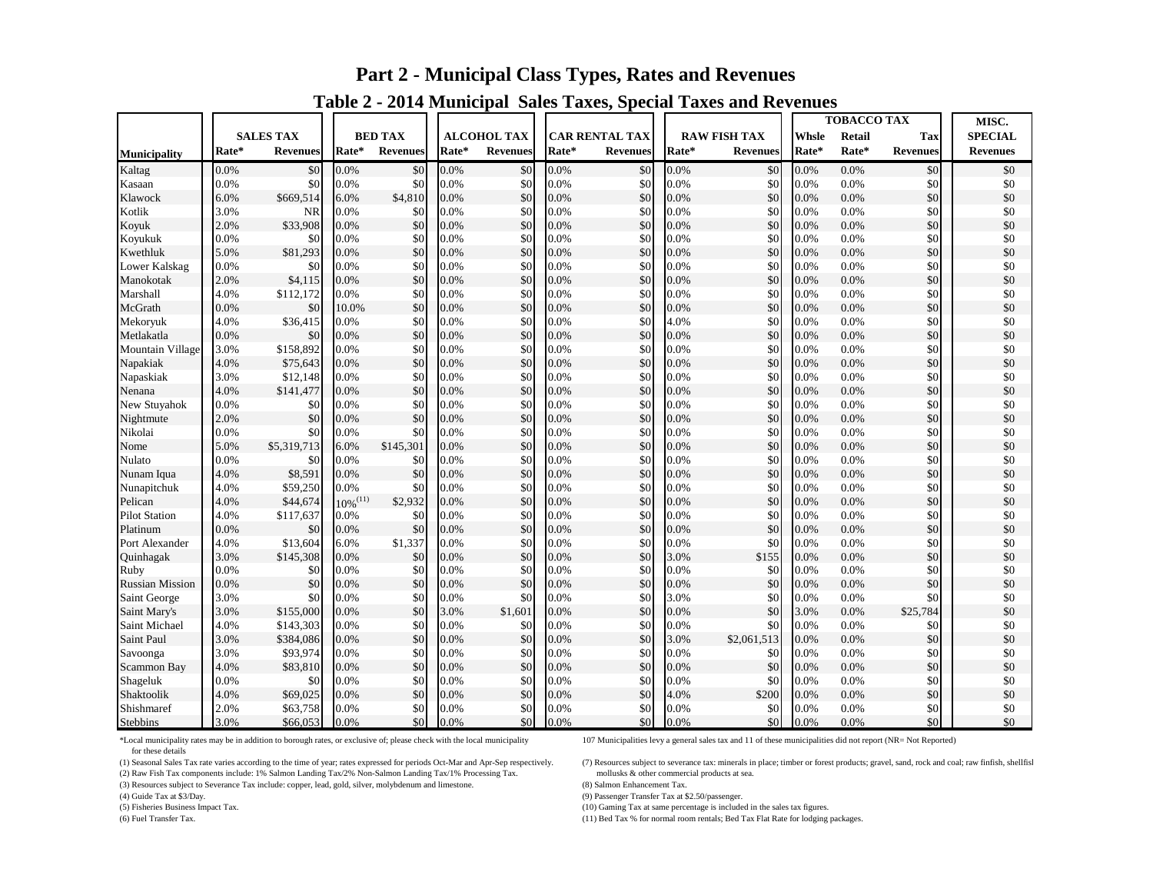## **Part 2 - Municipal Class Types, Rates and Revenues**

|                        |       |                  |               |                 |       |                    |       |                       |       |                     | <b>TOBACCO TAX</b> |         |                 | MISC.           |
|------------------------|-------|------------------|---------------|-----------------|-------|--------------------|-------|-----------------------|-------|---------------------|--------------------|---------|-----------------|-----------------|
|                        |       | <b>SALES TAX</b> |               | <b>BED TAX</b>  |       | <b>ALCOHOL TAX</b> |       | <b>CAR RENTAL TAX</b> |       | <b>RAW FISH TAX</b> | <b>Whsle</b>       | Retail  | Tax             | <b>SPECIAL</b>  |
| <b>Municipality</b>    | Rate* | <b>Revenues</b>  | Rate*         | <b>Revenues</b> | Rate* | <b>Revenues</b>    | Rate* | <b>Revenues</b>       | Rate* | <b>Revenues</b>     | Rate*              | Rate*   | <b>Revenues</b> | <b>Revenues</b> |
| Kaltag                 | 0.0%  | \$0              | 0.0%          | \$0             | 0.0%  | \$0                | 0.0%  | \$0                   | 0.0%  | \$0                 | 0.0%               | 0.0%    | \$0             | \$0             |
| Kasaan                 | 0.0%  | \$0              | 0.0%          | \$0             | 0.0%  | \$0                | 0.0%  | \$0                   | 0.0%  | \$0                 | 0.0%               | 0.0%    | \$0             | \$0             |
| Klawock                | 6.0%  | \$669,514        | 6.0%          | \$4,810         | 0.0%  | \$0                | 0.0%  | \$0                   | 0.0%  | \$0                 | 0.0%               | 0.0%    | \$0             | \$0             |
| Kotlik                 | 3.0%  | NR               | 0.0%          | \$0             | 0.0%  | \$0                | 0.0%  | \$0                   | 0.0%  | \$0                 | 0.0%               | 0.0%    | \$0             | \$0             |
| Koyuk                  | 2.0%  | \$33,908         | 0.0%          | \$0             | 0.0%  | \$0                | 0.0%  | \$0                   | 0.0%  | \$0                 | 0.0%               | 0.0%    | \$0             | \$0             |
| Koyukuk                | 0.0%  | \$0              | 0.0%          | \$0             | 0.0%  | \$0                | 0.0%  | \$0                   | 0.0%  | \$0                 | 0.0%               | 0.0%    | 30              | \$0             |
| Kwethluk               | 5.0%  | \$81,293         | 0.0%          | \$0             | 0.0%  | \$0                | 0.0%  | \$0                   | 0.0%  | \$0                 | 0.0%               | 0.0%    | \$0             | \$0             |
| Lower Kalskag          | 0.0%  | \$0              | 0.0%          | \$0             | 0.0%  | \$0                | 0.0%  | \$0                   | 0.0%  | \$0                 | 0.0%               | 0.0%    | \$0             | \$0             |
| Manokotak              | 2.0%  | \$4,115          | 0.0%          | \$0             | 0.0%  | \$0                | 0.0%  | \$0                   | 0.0%  | \$0                 | 0.0%               | 0.0%    | \$0             | \$0             |
| Marshall               | 4.0%  | \$112,172        | 0.0%          | \$0             | 0.0%  | \$0                | 0.0%  | \$0                   | 0.0%  | \$0                 | 0.0%               | 0.0%    | \$0             | \$0             |
| McGrath                | 0.0%  | \$0              | 10.0%         | \$0             | 0.0%  | \$0                | 0.0%  | \$0                   | 0.0%  | \$0                 | 0.0%               | 0.0%    | \$0             | \$0             |
| Mekoryuk               | 4.0%  | \$36,415         | 0.0%          | \$0             | 0.0%  | \$0                | 0.0%  | \$0                   | 4.0%  | \$0                 | 0.0%               | 0.0%    | \$0             | \$0             |
| Metlakatla             | 0.0%  | \$0              | 0.0%          | \$0             | 0.0%  | \$0                | 0.0%  | \$0                   | 0.0%  | \$0                 | 0.0%               | 0.0%    | \$0             | \$0             |
| Mountain Village       | 3.0%  | \$158,892        | 0.0%          | \$0             | 0.0%  | \$0                | 0.0%  | \$0                   | 0.0%  | \$0                 | 0.0%               | 0.0%    | \$0             | \$0             |
| Napakiak               | 4.0%  | \$75,643         | 0.0%          | \$0             | 0.0%  | \$0                | 0.0%  | \$0                   | 0.0%  | \$0                 | 0.0%               | 0.0%    | \$0             | \$0             |
| Napaskiak              | 3.0%  | \$12,148         | 0.0%          | \$0             | 0.0%  | \$0                | 0.0%  | \$0                   | 0.0%  | \$0                 | 0.0%               | 0.0%    | \$0             | \$0             |
| Nenana                 | 4.0%  | \$141,477        | 0.0%          | \$0             | 0.0%  | \$0                | 0.0%  | \$0                   | 0.0%  | \$0                 | 0.0%               | 0.0%    | \$0             | \$0             |
| <b>New Stuvahok</b>    | 0.0%  | \$0              | 0.0%          | \$0             | 0.0%  | \$0                | 0.0%  | \$0                   | 0.0%  | \$0                 | $0.0\%$            | 0.0%    | 30              | \$0             |
| Nightmute              | 2.0%  | \$0              | 0.0%          | \$0             | 0.0%  | \$0                | 0.0%  | \$0                   | 0.0%  | \$0                 | 0.0%               | 0.0%    | \$0             | \$0             |
| Nikolai                | 0.0%  | \$0              | 0.0%          | \$0             | 0.0%  | \$0                | 0.0%  | \$0                   | 0.0%  | \$0                 | 0.0%               | 0.0%    | \$0             | \$0             |
| Nome                   | 5.0%  | \$5,319,713      | 6.0%          | \$145,301       | 0.0%  | \$0                | 0.0%  | \$0                   | 0.0%  | \$0                 | 0.0%               | 0.0%    | \$0             | \$0             |
| Nulato                 | 0.0%  | \$0              | 0.0%          | \$0             | 0.0%  | \$0                | 0.0%  | \$0                   | 0.0%  | \$0                 | 0.0%               | 0.0%    | \$0             | \$0             |
| Nunam Iqua             | 4.0%  | \$8,591          | 0.0%          | \$0             | 0.0%  | \$0                | 0.0%  | \$0                   | 0.0%  | \$0                 | 0.0%               | 0.0%    | \$0             | \$0             |
| Nunapitchuk            | 4.0%  | \$59,250         | 0.0%          | \$0             | 0.0%  | \$0                | 0.0%  | \$0                   | 0.0%  | \$0                 | 0.0%               | 0.0%    | 30              | \$0             |
| Pelican                | 4.0%  | \$44,674         | $10\%^{(11)}$ | \$2,932         | 0.0%  | \$0                | 0.0%  | \$0                   | 0.0%  | \$0                 | 0.0%               | 0.0%    | \$0             | \$0             |
| <b>Pilot Station</b>   | 4.0%  | \$117,637        | 0.0%          | \$0             | 0.0%  | \$0                | 0.0%  | \$0                   | 0.0%  | \$0                 | 0.0%               | 0.0%    | \$0             | \$0             |
| Platinum               | 0.0%  | \$0              | 0.0%          | \$0             | 0.0%  | \$0                | 0.0%  | \$0                   | 0.0%  | \$0                 | 0.0%               | 0.0%    | \$0             | \$0             |
| Port Alexander         | 4.0%  | \$13,604         | 6.0%          | \$1,337         | 0.0%  | \$0                | 0.0%  | \$0                   | 0.0%  | \$0                 | 0.0%               | 0.0%    | \$0             | \$0             |
| Quinhagak              | 3.0%  | \$145,308        | 0.0%          | \$0             | 0.0%  | \$0                | 0.0%  | \$0                   | 3.0%  | \$155               | 0.0%               | 0.0%    | \$0             | \$0             |
| Ruby                   | 0.0%  | \$0              | 0.0%          | \$0             | 0.0%  | \$0                | 0.0%  | \$0                   | 0.0%  | \$0                 | 0.0%               | 0.0%    | \$0             | \$0             |
| <b>Russian Mission</b> | 0.0%  | \$0              | 0.0%          | \$0             | 0.0%  | \$0                | 0.0%  | \$0                   | 0.0%  | \$0                 | 0.0%               | 0.0%    | \$0             | \$0             |
| Saint George           | 3.0%  | \$0              | 0.0%          | \$0             | 0.0%  | \$0                | 0.0%  | \$0                   | 3.0%  | \$0                 | 0.0%               | 0.0%    | \$0             | \$0             |
| Saint Mary's           | 3.0%  | \$155,000        | 0.0%          | \$0             | 3.0%  | \$1,601            | 0.0%  | \$0                   | 0.0%  | \$0                 | 3.0%               | 0.0%    | \$25,784        | \$0             |
| Saint Michael          | 4.0%  | \$143,303        | 0.0%          | \$0             | 0.0%  | \$0                | 0.0%  | \$0                   | 0.0%  | \$0                 | 0.0%               | 0.0%    | \$0             | \$0             |
| Saint Paul             | 3.0%  | \$384,086        | 0.0%          | \$0             | 0.0%  | \$0                | 0.0%  | \$0                   | 3.0%  | \$2,061,513         | 0.0%               | 0.0%    | \$0             | \$0             |
| Savoonga               | 3.0%  | \$93,974         | 0.0%          | \$0             | 0.0%  | \$0                | 0.0%  | \$0                   | 0.0%  | \$0                 | 0.0%               | 0.0%    | \$0             | \$0             |
| Scammon Bay            | 4.0%  | \$83,810         | 0.0%          | \$0             | 0.0%  | \$0                | 0.0%  | \$0                   | 0.0%  | \$0                 | 0.0%               | 0.0%    | \$0             | \$0             |
| Shageluk               | 0.0%  | \$0              | 0.0%          | \$0             | 0.0%  | \$0                | 0.0%  | \$0                   | 0.0%  | \$0                 | 0.0%               | 0.0%    | \$0             | \$0             |
| Shaktoolik             | 4.0%  | \$69,025         | 0.0%          | \$0             | 0.0%  | \$0                | 0.0%  | \$0                   | 4.0%  | \$200               | 0.0%               | 0.0%    | \$0             | \$0             |
| Shishmaref             | 2.0%  | \$63,758         | 0.0%          | \$0             | 0.0%  | \$0                | 0.0%  | \$0                   | 0.0%  | \$0                 | 0.0%               | 0.0%    | \$0             | \$0             |
| <b>Stebbins</b>        | 3.0%  | \$66,053         | 0.0%          | \$0             | 0.0%  | \$0                | 0.0%  | \$0                   | 0.0%  | \$0                 | 0.0%               | $0.0\%$ | \$0             | \$0             |

### **Table 2 - 2014 Municipal Sales Taxes, Special Taxes and Revenues**

\*Local municipality rates may be in addition to borough rates, or exclusive of; please check with the local municipality 107 Municipalities levy a general sales tax and 11 of these municipalities did not report (NR= Not Re for these details

(1) Seasonal Sales Tax rate varies according to the time of year; rates expressed for periods Oct-Mar and Apr-Sep respectively. (7) Resources subject to severance tax: minerals in place; timber or forest products; gravel,

(2) Raw Fish Tax components include: 1% Salmon Landing Tax/2% Non-Salmon Landing Tax/1% Processing Tax. mollusks & other commercial products at sea.<br>(3) Resources subject to Severance Tax include: copper, lead, gold, silve

(3) Resources subject to Severance Tax include: copper, lead, gold, silver, molybdenum and limestone.

(4) Guide Tax at \$2.50/passenger.<br>
(5) Fisheries Business Impact Tax.<br>
(5) Fisheries Business Impact Tax.<br>
(5) Gaming Tax at same percentage is include

(10) Gaming Tax at same percentage is included in the sales tax figures.

(6) Fuel Transfer Tax. (11) Bed Tax % for normal room rentals; Bed Tax Flat Rate for lodging packages.